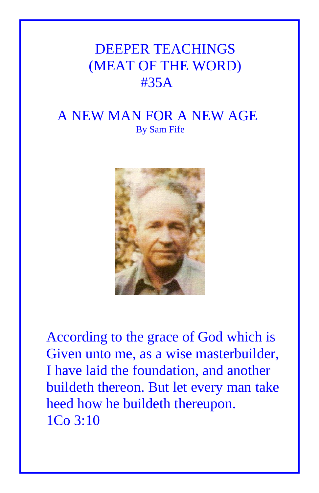## DEEPER TEACHINGS (MEAT OF THE WORD) #35A

## A NEW MAN FOR A NEW AGE By Sam Fife



According to the grace of God which is Given unto me, as a wise masterbuilder, I have laid the foundation, and another buildeth thereon. But let every man take heed how he buildeth thereupon. 1Co 3:10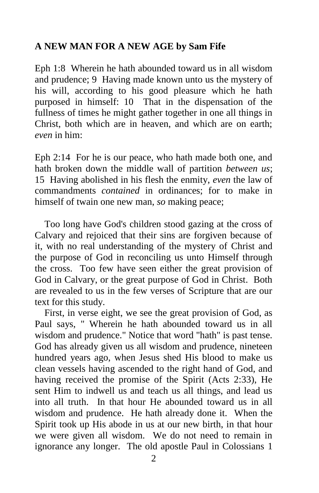## **A NEW MAN FOR A NEW AGE by Sam Fife**

Eph 1:8 Wherein he hath abounded toward us in all wisdom and prudence; 9 Having made known unto us the mystery of his will, according to his good pleasure which he hath purposed in himself: 10 That in the dispensation of the fullness of times he might gather together in one all things in Christ, both which are in heaven, and which are on earth; *even* in him:

Eph 2:14 For he is our peace, who hath made both one, and hath broken down the middle wall of partition *between us*; 15 Having abolished in his flesh the enmity, *even* the law of commandments *contained* in ordinances; for to make in himself of twain one new man, *so* making peace;

 Too long have God's children stood gazing at the cross of Calvary and rejoiced that their sins are forgiven because of it, with no real understanding of the mystery of Christ and the purpose of God in reconciling us unto Himself through the cross. Too few have seen either the great provision of God in Calvary, or the great purpose of God in Christ. Both are revealed to us in the few verses of Scripture that are our text for this study.

 First, in verse eight, we see the great provision of God, as Paul says, " Wherein he hath abounded toward us in all wisdom and prudence." Notice that word "hath" is past tense. God has already given us all wisdom and prudence, nineteen hundred years ago, when Jesus shed His blood to make us clean vessels having ascended to the right hand of God, and having received the promise of the Spirit (Acts 2:33), He sent Him to indwell us and teach us all things, and lead us into all truth. In that hour He abounded toward us in all wisdom and prudence. He hath already done it. When the Spirit took up His abode in us at our new birth, in that hour we were given all wisdom. We do not need to remain in ignorance any longer. The old apostle Paul in Colossians 1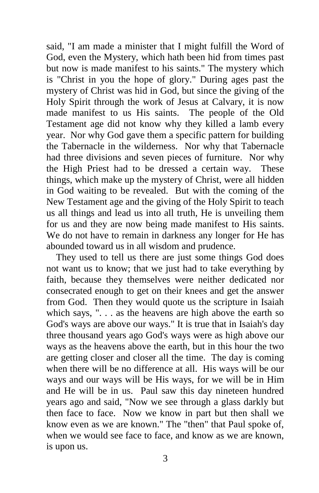said, "I am made a minister that I might fulfill the Word of God, even the Mystery, which hath been hid from times past but now is made manifest to his saints." The mystery which is "Christ in you the hope of glory." During ages past the mystery of Christ was hid in God, but since the giving of the Holy Spirit through the work of Jesus at Calvary, it is now made manifest to us His saints. The people of the Old Testament age did not know why they killed a lamb every year. Nor why God gave them a specific pattern for building the Tabernacle in the wilderness. Nor why that Tabernacle had three divisions and seven pieces of furniture. Nor why the High Priest had to be dressed a certain way. These things, which make up the mystery of Christ, were all hidden in God waiting to be revealed. But with the coming of the New Testament age and the giving of the Holy Spirit to teach us all things and lead us into all truth, He is unveiling them for us and they are now being made manifest to His saints. We do not have to remain in darkness any longer for He has abounded toward us in all wisdom and prudence.

 They used to tell us there are just some things God does not want us to know; that we just had to take everything by faith, because they themselves were neither dedicated nor consecrated enough to get on their knees and get the answer from God. Then they would quote us the scripture in Isaiah which says, ". . . as the heavens are high above the earth so God's ways are above our ways." It is true that in Isaiah's day three thousand years ago God's ways were as high above our ways as the heavens above the earth, but in this hour the two are getting closer and closer all the time. The day is coming when there will be no difference at all. His ways will be our ways and our ways will be His ways, for we will be in Him and He will be in us. Paul saw this day nineteen hundred years ago and said, "Now we see through a glass darkly but then face to face. Now we know in part but then shall we know even as we are known." The "then" that Paul spoke of, when we would see face to face, and know as we are known, is upon us.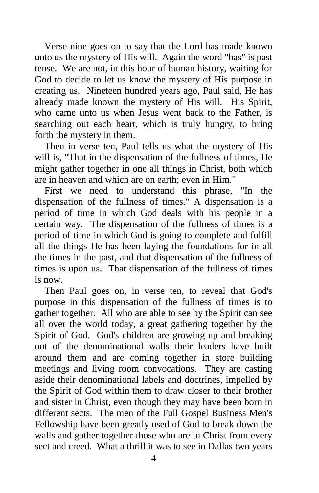Verse nine goes on to say that the Lord has made known unto us the mystery of His will. Again the word "has" is past tense. We are not, in this hour of human history, waiting for God to decide to let us know the mystery of His purpose in creating us. Nineteen hundred years ago, Paul said, He has already made known the mystery of His will. His Spirit, who came unto us when Jesus went back to the Father, is searching out each heart, which is truly hungry, to bring forth the mystery in them.

 Then in verse ten, Paul tells us what the mystery of His will is, "That in the dispensation of the fullness of times, He might gather together in one all things in Christ, both which are in heaven and which are on earth; even in Him."

 First we need to understand this phrase, "In the dispensation of the fullness of times." A dispensation is a period of time in which God deals with his people in a certain way. The dispensation of the fullness of times is a period of time in which God is going to complete and fulfill all the things He has been laying the foundations for in all the times in the past, and that dispensation of the fullness of times is upon us. That dispensation of the fullness of times is now.

 Then Paul goes on, in verse ten, to reveal that God's purpose in this dispensation of the fullness of times is to gather together. All who are able to see by the Spirit can see all over the world today, a great gathering together by the Spirit of God. God's children are growing up and breaking out of the denominational walls their leaders have built around them and are coming together in store building meetings and living room convocations. They are casting aside their denominational labels and doctrines, impelled by the Spirit of God within them to draw closer to their brother and sister in Christ, even though they may have been born in different sects. The men of the Full Gospel Business Men's Fellowship have been greatly used of God to break down the walls and gather together those who are in Christ from every sect and creed. What a thrill it was to see in Dallas two years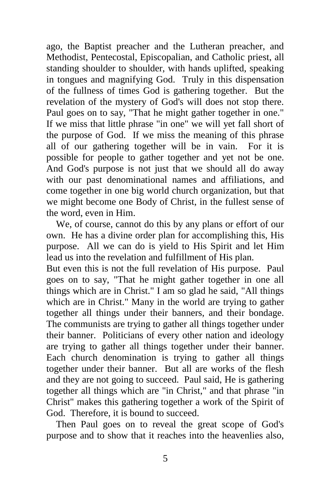ago, the Baptist preacher and the Lutheran preacher, and Methodist, Pentecostal, Episcopalian, and Catholic priest, all standing shoulder to shoulder, with hands uplifted, speaking in tongues and magnifying God. Truly in this dispensation of the fullness of times God is gathering together. But the revelation of the mystery of God's will does not stop there. Paul goes on to say, "That he might gather together in one." If we miss that little phrase "in one" we will yet fall short of the purpose of God. If we miss the meaning of this phrase all of our gathering together will be in vain. For it is possible for people to gather together and yet not be one. And God's purpose is not just that we should all do away with our past denominational names and affiliations, and come together in one big world church organization, but that we might become one Body of Christ, in the fullest sense of the word, even in Him.

 We, of course, cannot do this by any plans or effort of our own. He has a divine order plan for accomplishing this, His purpose. All we can do is yield to His Spirit and let Him lead us into the revelation and fulfillment of His plan.

But even this is not the full revelation of His purpose. Paul goes on to say, "That he might gather together in one all things which are in Christ." I am so glad he said, "All things which are in Christ." Many in the world are trying to gather together all things under their banners, and their bondage. The communists are trying to gather all things together under their banner. Politicians of every other nation and ideology are trying to gather all things together under their banner. Each church denomination is trying to gather all things together under their banner. But all are works of the flesh and they are not going to succeed. Paul said, He is gathering together all things which are "in Christ," and that phrase "in Christ" makes this gathering together a work of the Spirit of God. Therefore, it is bound to succeed.

 Then Paul goes on to reveal the great scope of God's purpose and to show that it reaches into the heavenlies also,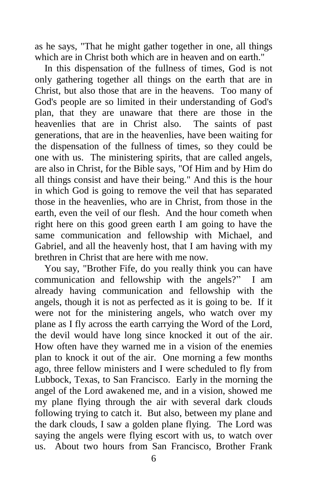as he says, "That he might gather together in one, all things which are in Christ both which are in heaven and on earth."

 In this dispensation of the fullness of times, God is not only gathering together all things on the earth that are in Christ, but also those that are in the heavens. Too many of God's people are so limited in their understanding of God's plan, that they are unaware that there are those in the heavenlies that are in Christ also. The saints of past generations, that are in the heavenlies, have been waiting for the dispensation of the fullness of times, so they could be one with us. The ministering spirits, that are called angels, are also in Christ, for the Bible says, "Of Him and by Him do all things consist and have their being." And this is the hour in which God is going to remove the veil that has separated those in the heavenlies, who are in Christ, from those in the earth, even the veil of our flesh. And the hour cometh when right here on this good green earth I am going to have the same communication and fellowship with Michael, and Gabriel, and all the heavenly host, that I am having with my brethren in Christ that are here with me now.

 You say, "Brother Fife, do you really think you can have communication and fellowship with the angels?" I am already having communication and fellowship with the angels, though it is not as perfected as it is going to be. If it were not for the ministering angels, who watch over my plane as I fly across the earth carrying the Word of the Lord, the devil would have long since knocked it out of the air. How often have they warned me in a vision of the enemies plan to knock it out of the air. One morning a few months ago, three fellow ministers and I were scheduled to fly from Lubbock, Texas, to San Francisco. Early in the morning the angel of the Lord awakened me, and in a vision, showed me my plane flying through the air with several dark clouds following trying to catch it. But also, between my plane and the dark clouds, I saw a golden plane flying. The Lord was saying the angels were flying escort with us, to watch over us. About two hours from San Francisco, Brother Frank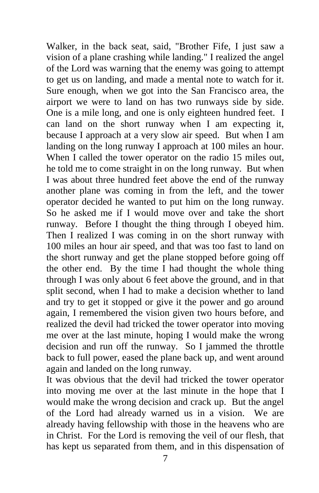Walker, in the back seat, said, "Brother Fife, I just saw a vision of a plane crashing while landing." I realized the angel of the Lord was warning that the enemy was going to attempt to get us on landing, and made a mental note to watch for it. Sure enough, when we got into the San Francisco area, the airport we were to land on has two runways side by side. One is a mile long, and one is only eighteen hundred feet. I can land on the short runway when I am expecting it, because I approach at a very slow air speed. But when I am landing on the long runway I approach at 100 miles an hour. When I called the tower operator on the radio 15 miles out, he told me to come straight in on the long runway. But when I was about three hundred feet above the end of the runway another plane was coming in from the left, and the tower operator decided he wanted to put him on the long runway. So he asked me if I would move over and take the short runway. Before I thought the thing through I obeyed him. Then I realized I was coming in on the short runway with 100 miles an hour air speed, and that was too fast to land on the short runway and get the plane stopped before going off the other end. By the time I had thought the whole thing through I was only about 6 feet above the ground, and in that split second, when I had to make a decision whether to land and try to get it stopped or give it the power and go around again, I remembered the vision given two hours before, and realized the devil had tricked the tower operator into moving me over at the last minute, hoping I would make the wrong decision and run off the runway. So I jammed the throttle back to full power, eased the plane back up, and went around again and landed on the long runway.

It was obvious that the devil had tricked the tower operator into moving me over at the last minute in the hope that I would make the wrong decision and crack up. But the angel of the Lord had already warned us in a vision. We are already having fellowship with those in the heavens who are in Christ. For the Lord is removing the veil of our flesh, that has kept us separated from them, and in this dispensation of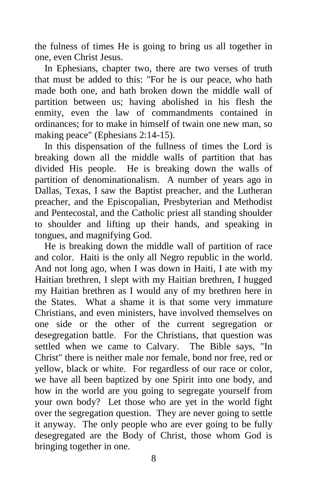the fulness of times He is going to bring us all together in one, even Christ Jesus.

 In Ephesians, chapter two, there are two verses of truth that must be added to this: "For he is our peace, who hath made both one, and hath broken down the middle wall of partition between us; having abolished in his flesh the enmity, even the law of commandments contained in ordinances; for to make in himself of twain one new man, so making peace" (Ephesians 2:14-15).

 In this dispensation of the fullness of times the Lord is breaking down all the middle walls of partition that has divided His people. He is breaking down the walls of partition of denominationalism. A number of years ago in Dallas, Texas, I saw the Baptist preacher, and the Lutheran preacher, and the Episcopalian, Presbyterian and Methodist and Pentecostal, and the Catholic priest all standing shoulder to shoulder and lifting up their hands, and speaking in tongues, and magnifying God.

 He is breaking down the middle wall of partition of race and color. Haiti is the only all Negro republic in the world. And not long ago, when I was down in Haiti, I ate with my Haitian brethren, I slept with my Haitian brethren, I hugged my Haitian brethren as I would any of my brethren here in the States. What a shame it is that some very immature Christians, and even ministers, have involved themselves on one side or the other of the current segregation or desegregation battle. For the Christians, that question was settled when we came to Calvary. The Bible says, "In Christ" there is neither male nor female, bond nor free, red or yellow, black or white. For regardless of our race or color, we have all been baptized by one Spirit into one body, and how in the world are you going to segregate yourself from your own body? Let those who are yet in the world fight over the segregation question. They are never going to settle it anyway. The only people who are ever going to be fully desegregated are the Body of Christ, those whom God is bringing together in one.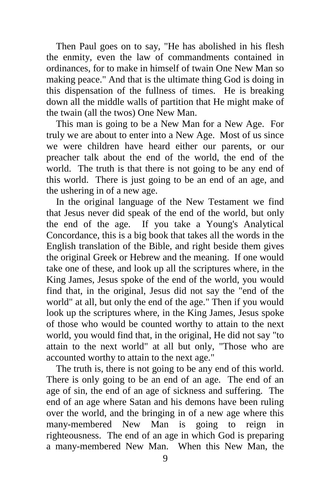Then Paul goes on to say, "He has abolished in his flesh the enmity, even the law of commandments contained in ordinances, for to make in himself of twain One New Man so making peace." And that is the ultimate thing God is doing in this dispensation of the fullness of times. He is breaking down all the middle walls of partition that He might make of the twain (all the twos) One New Man.

 This man is going to be a New Man for a New Age. For truly we are about to enter into a New Age. Most of us since we were children have heard either our parents, or our preacher talk about the end of the world, the end of the world. The truth is that there is not going to be any end of this world. There is just going to be an end of an age, and the ushering in of a new age.

 In the original language of the New Testament we find that Jesus never did speak of the end of the world, but only the end of the age. If you take a Young's Analytical Concordance, this is a big book that takes all the words in the English translation of the Bible, and right beside them gives the original Greek or Hebrew and the meaning. If one would take one of these, and look up all the scriptures where, in the King James, Jesus spoke of the end of the world, you would find that, in the original, Jesus did not say the "end of the world" at all, but only the end of the age." Then if you would look up the scriptures where, in the King James, Jesus spoke of those who would be counted worthy to attain to the next world, you would find that, in the original, He did not say "to attain to the next world" at all but only, "Those who are accounted worthy to attain to the next age."

 The truth is, there is not going to be any end of this world. There is only going to be an end of an age. The end of an age of sin, the end of an age of sickness and suffering. The end of an age where Satan and his demons have been ruling over the world, and the bringing in of a new age where this many-membered New Man is going to reign in righteousness. The end of an age in which God is preparing a many-membered New Man. When this New Man, the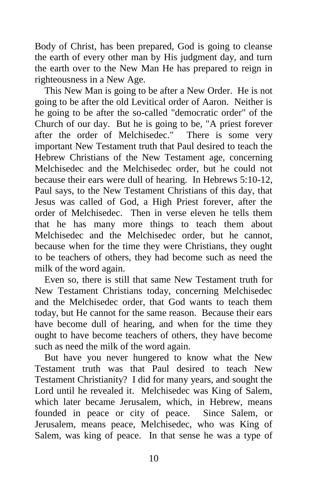Body of Christ, has been prepared, God is going to cleanse the earth of every other man by His judgment day, and turn the earth over to the New Man He has prepared to reign in righteousness in a New Age.

 This New Man is going to be after a New Order. He is not going to be after the old Levitical order of Aaron. Neither is he going to be after the so-called "democratic order" of the Church of our day. But he is going to be, "A priest forever after the order of Melchisedec." There is some very important New Testament truth that Paul desired to teach the Hebrew Christians of the New Testament age, concerning Melchisedec and the Melchisedec order, but he could not because their ears were dull of hearing. In Hebrews 5:10-12, Paul says, to the New Testament Christians of this day, that Jesus was called of God, a High Priest forever, after the order of Melchisedec. Then in verse eleven he tells them that he has many more things to teach them about Melchisedec and the Melchisedec order, but he cannot, because when for the time they were Christians, they ought to be teachers of others, they had become such as need the milk of the word again.

 Even so, there is still that same New Testament truth for New Testament Christians today, concerning Melchisedec and the Melchisedec order, that God wants to teach them today, but He cannot for the same reason. Because their ears have become dull of hearing, and when for the time they ought to have become teachers of others, they have become such as need the milk of the word again.

 But have you never hungered to know what the New Testament truth was that Paul desired to teach New Testament Christianity? I did for many years, and sought the Lord until he revealed it. Melchisedec was King of Salem, which later became Jerusalem, which, in Hebrew, means founded in peace or city of peace. Since Salem, or Jerusalem, means peace, Melchisedec, who was King of Salem, was king of peace. In that sense he was a type of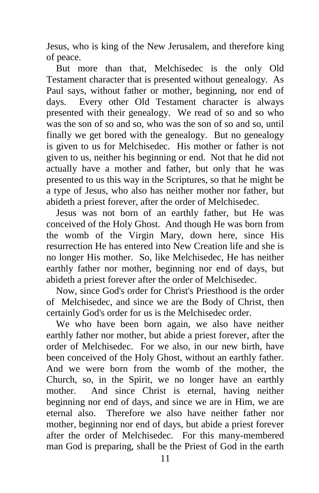Jesus, who is king of the New Jerusalem, and therefore king of peace.

 But more than that, Melchisedec is the only Old Testament character that is presented without genealogy. As Paul says, without father or mother, beginning, nor end of days. Every other Old Testament character is always presented with their genealogy. We read of so and so who was the son of so and so, who was the son of so and so, until finally we get bored with the genealogy. But no genealogy is given to us for Melchisedec. His mother or father is not given to us, neither his beginning or end. Not that he did not actually have a mother and father, but only that he was presented to us this way in the Scriptures, so that he might be a type of Jesus, who also has neither mother nor father, but abideth a priest forever, after the order of Melchisedec.

 Jesus was not born of an earthly father, but He was conceived of the Holy Ghost. And though He was born from the womb of the Virgin Mary, down here, since His resurrection He has entered into New Creation life and she is no longer His mother. So, like Melchisedec, He has neither earthly father nor mother, beginning nor end of days, but abideth a priest forever after the order of Melchisedec.

 Now, since God's order for Christ's Priesthood is the order of Melchisedec, and since we are the Body of Christ, then certainly God's order for us is the Melchisedec order.

 We who have been born again, we also have neither earthly father nor mother, but abide a priest forever, after the order of Melchisedec. For we also, in our new birth, have been conceived of the Holy Ghost, without an earthly father. And we were born from the womb of the mother, the Church, so, in the Spirit, we no longer have an earthly mother. And since Christ is eternal, having neither beginning nor end of days, and since we are in Him, we are eternal also. Therefore we also have neither father nor mother, beginning nor end of days, but abide a priest forever after the order of Melchisedec. For this many-membered man God is preparing, shall be the Priest of God in the earth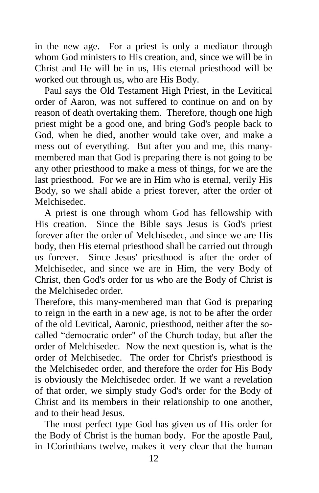in the new age. For a priest is only a mediator through whom God ministers to His creation, and, since we will be in Christ and He will be in us, His eternal priesthood will be worked out through us, who are His Body.

 Paul says the Old Testament High Priest, in the Levitical order of Aaron, was not suffered to continue on and on by reason of death overtaking them. Therefore, though one high priest might be a good one, and bring God's people back to God, when he died, another would take over, and make a mess out of everything. But after you and me, this manymembered man that God is preparing there is not going to be any other priesthood to make a mess of things, for we are the last priesthood. For we are in Him who is eternal, verily His Body, so we shall abide a priest forever, after the order of Melchisedec.

 A priest is one through whom God has fellowship with His creation. Since the Bible says Jesus is God's priest forever after the order of Melchisedec, and since we are His body, then His eternal priesthood shall be carried out through us forever. Since Jesus' priesthood is after the order of Melchisedec, and since we are in Him, the very Body of Christ, then God's order for us who are the Body of Christ is the Melchisedec order.

Therefore, this many-membered man that God is preparing to reign in the earth in a new age, is not to be after the order of the old Levitical, Aaronic, priesthood, neither after the socalled "democratic order" of the Church today, but after the order of Melchisedec. Now the next question is, what is the order of Melchisedec. The order for Christ's priesthood is the Melchisedec order, and therefore the order for His Body is obviously the Melchisedec order. If we want a revelation of that order, we simply study God's order for the Body of Christ and its members in their relationship to one another, and to their head Jesus.

 The most perfect type God has given us of His order for the Body of Christ is the human body. For the apostle Paul, in 1Corinthians twelve, makes it very clear that the human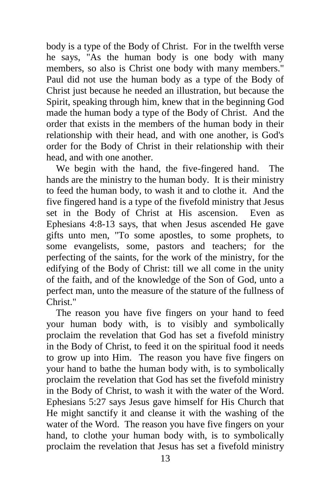body is a type of the Body of Christ. For in the twelfth verse he says, "As the human body is one body with many members, so also is Christ one body with many members." Paul did not use the human body as a type of the Body of Christ just because he needed an illustration, but because the Spirit, speaking through him, knew that in the beginning God made the human body a type of the Body of Christ. And the order that exists in the members of the human body in their relationship with their head, and with one another, is God's order for the Body of Christ in their relationship with their head, and with one another.

 We begin with the hand, the five-fingered hand. The hands are the ministry to the human body. It is their ministry to feed the human body, to wash it and to clothe it. And the five fingered hand is a type of the fivefold ministry that Jesus set in the Body of Christ at His ascension. Even as Ephesians 4:8-13 says, that when Jesus ascended He gave gifts unto men, "To some apostles, to some prophets, to some evangelists, some, pastors and teachers; for the perfecting of the saints, for the work of the ministry, for the edifying of the Body of Christ: till we all come in the unity of the faith, and of the knowledge of the Son of God, unto a perfect man, unto the measure of the stature of the fullness of Christ."

 The reason you have five fingers on your hand to feed your human body with, is to visibly and symbolically proclaim the revelation that God has set a fivefold ministry in the Body of Christ, to feed it on the spiritual food it needs to grow up into Him. The reason you have five fingers on your hand to bathe the human body with, is to symbolically proclaim the revelation that God has set the fivefold ministry in the Body of Christ, to wash it with the water of the Word. Ephesians 5:27 says Jesus gave himself for His Church that He might sanctify it and cleanse it with the washing of the water of the Word. The reason you have five fingers on your hand, to clothe your human body with, is to symbolically proclaim the revelation that Jesus has set a fivefold ministry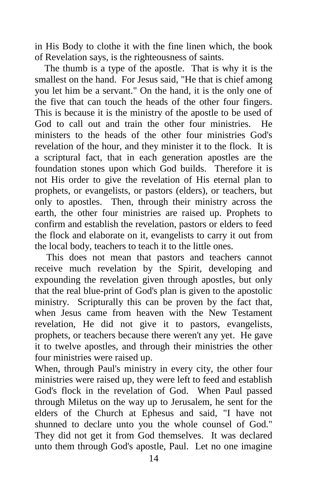in His Body to clothe it with the fine linen which, the book of Revelation says, is the righteousness of saints.

 The thumb is a type of the apostle. That is why it is the smallest on the hand. For Jesus said, "He that is chief among you let him be a servant." On the hand, it is the only one of the five that can touch the heads of the other four fingers. This is because it is the ministry of the apostle to be used of God to call out and train the other four ministries. He ministers to the heads of the other four ministries God's revelation of the hour, and they minister it to the flock. It is a scriptural fact, that in each generation apostles are the foundation stones upon which God builds. Therefore it is not His order to give the revelation of His eternal plan to prophets, or evangelists, or pastors (elders), or teachers, but only to apostles. Then, through their ministry across the earth, the other four ministries are raised up. Prophets to confirm and establish the revelation, pastors or elders to feed the flock and elaborate on it, evangelists to carry it out from the local body, teachers to teach it to the little ones.

This does not mean that pastors and teachers cannot receive much revelation by the Spirit, developing and expounding the revelation given through apostles, but only that the real blue-print of God's plan is given to the apostolic ministry. Scripturally this can be proven by the fact that, when Jesus came from heaven with the New Testament revelation, He did not give it to pastors, evangelists, prophets, or teachers because there weren't any yet. He gave it to twelve apostles, and through their ministries the other four ministries were raised up.

When, through Paul's ministry in every city, the other four ministries were raised up, they were left to feed and establish God's flock in the revelation of God. When Paul passed through Miletus on the way up to Jerusalem, he sent for the elders of the Church at Ephesus and said, "I have not shunned to declare unto you the whole counsel of God." They did not get it from God themselves. It was declared unto them through God's apostle, Paul. Let no one imagine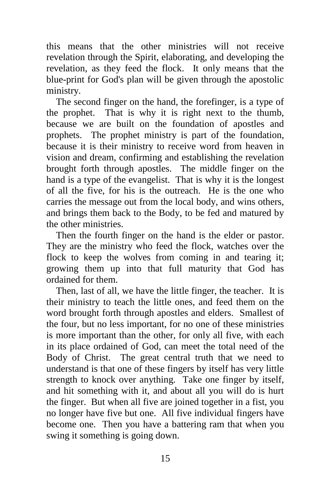this means that the other ministries will not receive revelation through the Spirit, elaborating, and developing the revelation, as they feed the flock. It only means that the blue-print for God's plan will be given through the apostolic ministry.

 The second finger on the hand, the forefinger, is a type of the prophet. That is why it is right next to the thumb, because we are built on the foundation of apostles and prophets. The prophet ministry is part of the foundation, because it is their ministry to receive word from heaven in vision and dream, confirming and establishing the revelation brought forth through apostles. The middle finger on the hand is a type of the evangelist. That is why it is the longest of all the five, for his is the outreach. He is the one who carries the message out from the local body, and wins others, and brings them back to the Body, to be fed and matured by the other ministries.

 Then the fourth finger on the hand is the elder or pastor. They are the ministry who feed the flock, watches over the flock to keep the wolves from coming in and tearing it; growing them up into that full maturity that God has ordained for them.

 Then, last of all, we have the little finger, the teacher. It is their ministry to teach the little ones, and feed them on the word brought forth through apostles and elders. Smallest of the four, but no less important, for no one of these ministries is more important than the other, for only all five, with each in its place ordained of God, can meet the total need of the Body of Christ. The great central truth that we need to understand is that one of these fingers by itself has very little strength to knock over anything. Take one finger by itself, and hit something with it, and about all you will do is hurt the finger. But when all five are joined together in a fist, you no longer have five but one. All five individual fingers have become one. Then you have a battering ram that when you swing it something is going down.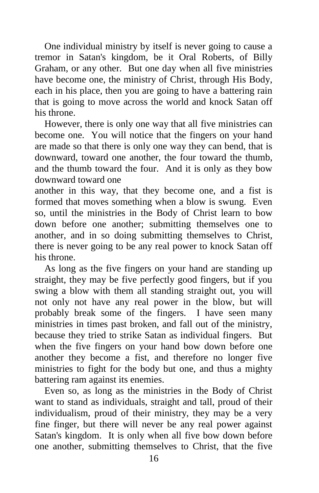One individual ministry by itself is never going to cause a tremor in Satan's kingdom, be it Oral Roberts, of Billy Graham, or any other. But one day when all five ministries have become one, the ministry of Christ, through His Body, each in his place, then you are going to have a battering rain that is going to move across the world and knock Satan off his throne.

 However, there is only one way that all five ministries can become one. You will notice that the fingers on your hand are made so that there is only one way they can bend, that is downward, toward one another, the four toward the thumb, and the thumb toward the four. And it is only as they bow downward toward one

another in this way, that they become one, and a fist is formed that moves something when a blow is swung. Even so, until the ministries in the Body of Christ learn to bow down before one another; submitting themselves one to another, and in so doing submitting themselves to Christ, there is never going to be any real power to knock Satan off his throne.

 As long as the five fingers on your hand are standing up straight, they may be five perfectly good fingers, but if you swing a blow with them all standing straight out, you will not only not have any real power in the blow, but will probably break some of the fingers. I have seen many ministries in times past broken, and fall out of the ministry, because they tried to strike Satan as individual fingers. But when the five fingers on your hand bow down before one another they become a fist, and therefore no longer five ministries to fight for the body but one, and thus a mighty battering ram against its enemies.

 Even so, as long as the ministries in the Body of Christ want to stand as individuals, straight and tall, proud of their individualism, proud of their ministry, they may be a very fine finger, but there will never be any real power against Satan's kingdom. It is only when all five bow down before one another, submitting themselves to Christ, that the five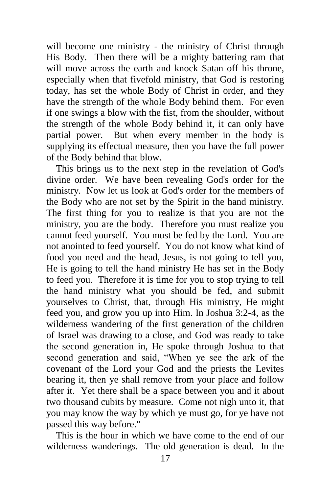will become one ministry - the ministry of Christ through His Body. Then there will be a mighty battering ram that will move across the earth and knock Satan off his throne, especially when that fivefold ministry, that God is restoring today, has set the whole Body of Christ in order, and they have the strength of the whole Body behind them. For even if one swings a blow with the fist, from the shoulder, without the strength of the whole Body behind it, it can only have partial power. But when every member in the body is supplying its effectual measure, then you have the full power of the Body behind that blow.

 This brings us to the next step in the revelation of God's divine order. We have been revealing God's order for the ministry. Now let us look at God's order for the members of the Body who are not set by the Spirit in the hand ministry. The first thing for you to realize is that you are not the ministry, you are the body. Therefore you must realize you cannot feed yourself. You must be fed by the Lord. You are not anointed to feed yourself. You do not know what kind of food you need and the head, Jesus, is not going to tell you, He is going to tell the hand ministry He has set in the Body to feed you. Therefore it is time for you to stop trying to tell the hand ministry what you should be fed, and submit yourselves to Christ, that, through His ministry, He might feed you, and grow you up into Him. In Joshua 3:2-4, as the wilderness wandering of the first generation of the children of Israel was drawing to a close, and God was ready to take the second generation in, He spoke through Joshua to that second generation and said, "When ye see the ark of the covenant of the Lord your God and the priests the Levites bearing it, then ye shall remove from your place and follow after it. Yet there shall be a space between you and it about two thousand cubits by measure. Come not nigh unto it, that you may know the way by which ye must go, for ye have not passed this way before."

 This is the hour in which we have come to the end of our wilderness wanderings. The old generation is dead. In the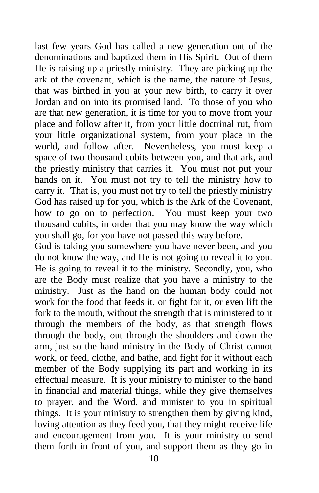last few years God has called a new generation out of the denominations and baptized them in His Spirit. Out of them He is raising up a priestly ministry. They are picking up the ark of the covenant, which is the name, the nature of Jesus, that was birthed in you at your new birth, to carry it over Jordan and on into its promised land. To those of you who are that new generation, it is time for you to move from your place and follow after it, from your little doctrinal rut, from your little organizational system, from your place in the world, and follow after. Nevertheless, you must keep a space of two thousand cubits between you, and that ark, and the priestly ministry that carries it. You must not put your hands on it. You must not try to tell the ministry how to carry it. That is, you must not try to tell the priestly ministry God has raised up for you, which is the Ark of the Covenant, how to go on to perfection. You must keep your two thousand cubits, in order that you may know the way which you shall go, for you have not passed this way before.

God is taking you somewhere you have never been, and you do not know the way, and He is not going to reveal it to you. He is going to reveal it to the ministry. Secondly, you, who are the Body must realize that you have a ministry to the ministry. Just as the hand on the human body could not work for the food that feeds it, or fight for it, or even lift the fork to the mouth, without the strength that is ministered to it through the members of the body, as that strength flows through the body, out through the shoulders and down the arm, just so the hand ministry in the Body of Christ cannot work, or feed, clothe, and bathe, and fight for it without each member of the Body supplying its part and working in its effectual measure. It is your ministry to minister to the hand in financial and material things, while they give themselves to prayer, and the Word, and minister to you in spiritual things. It is your ministry to strengthen them by giving kind, loving attention as they feed you, that they might receive life and encouragement from you. It is your ministry to send them forth in front of you, and support them as they go in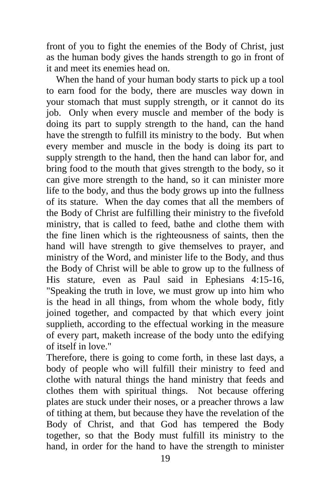front of you to fight the enemies of the Body of Christ, just as the human body gives the hands strength to go in front of it and meet its enemies head on.

 When the hand of your human body starts to pick up a tool to earn food for the body, there are muscles way down in your stomach that must supply strength, or it cannot do its job. Only when every muscle and member of the body is doing its part to supply strength to the hand, can the hand have the strength to fulfill its ministry to the body. But when every member and muscle in the body is doing its part to supply strength to the hand, then the hand can labor for, and bring food to the mouth that gives strength to the body, so it can give more strength to the hand, so it can minister more life to the body, and thus the body grows up into the fullness of its stature. When the day comes that all the members of the Body of Christ are fulfilling their ministry to the fivefold ministry, that is called to feed, bathe and clothe them with the fine linen which is the righteousness of saints, then the hand will have strength to give themselves to prayer, and ministry of the Word, and minister life to the Body, and thus the Body of Christ will be able to grow up to the fullness of His stature, even as Paul said in Ephesians 4:15-16, "Speaking the truth in love, we must grow up into him who is the head in all things, from whom the whole body, fitly joined together, and compacted by that which every joint supplieth, according to the effectual working in the measure of every part, maketh increase of the body unto the edifying of itself in love."

Therefore, there is going to come forth, in these last days, a body of people who will fulfill their ministry to feed and clothe with natural things the hand ministry that feeds and clothes them with spiritual things. Not because offering plates are stuck under their noses, or a preacher throws a law of tithing at them, but because they have the revelation of the Body of Christ, and that God has tempered the Body together, so that the Body must fulfill its ministry to the hand, in order for the hand to have the strength to minister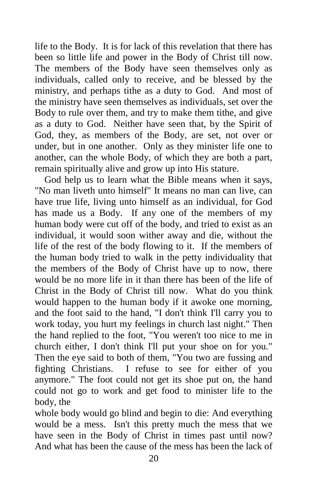life to the Body. It is for lack of this revelation that there has been so little life and power in the Body of Christ till now. The members of the Body have seen themselves only as individuals, called only to receive, and be blessed by the ministry, and perhaps tithe as a duty to God. And most of the ministry have seen themselves as individuals, set over the Body to rule over them, and try to make them tithe, and give as a duty to God. Neither have seen that, by the Spirit of God, they, as members of the Body, are set, not over or under, but in one another. Only as they minister life one to another, can the whole Body, of which they are both a part, remain spiritually alive and grow up into His stature.

 God help us to learn what the Bible means when it says, "No man liveth unto himself" It means no man can live, can have true life, living unto himself as an individual, for God has made us a Body. If any one of the members of my human body were cut off of the body, and tried to exist as an individual, it would soon wither away and die, without the life of the rest of the body flowing to it. If the members of the human body tried to walk in the petty individuality that the members of the Body of Christ have up to now, there would be no more life in it than there has been of the life of Christ in the Body of Christ till now. What do you think would happen to the human body if it awoke one morning, and the foot said to the hand, "I don't think I'll carry you to work today, you hurt my feelings in church last night." Then the hand replied to the foot, "You weren't too nice to me in church either, I don't think I'll put your shoe on for you." Then the eye said to both of them, "You two are fussing and fighting Christians. I refuse to see for either of you anymore." The foot could not get its shoe put on, the hand could not go to work and get food to minister life to the body, the

whole body would go blind and begin to die: And everything would be a mess. Isn't this pretty much the mess that we have seen in the Body of Christ in times past until now? And what has been the cause of the mess has been the lack of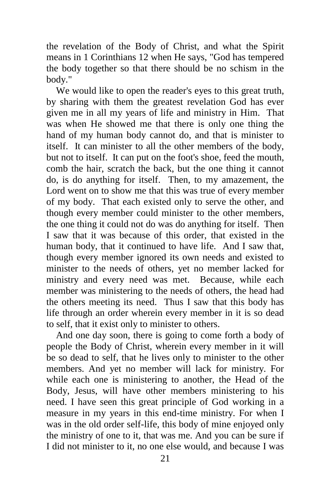the revelation of the Body of Christ, and what the Spirit means in 1 Corinthians 12 when He says, "God has tempered the body together so that there should be no schism in the body."

 We would like to open the reader's eyes to this great truth, by sharing with them the greatest revelation God has ever given me in all my years of life and ministry in Him. That was when He showed me that there is only one thing the hand of my human body cannot do, and that is minister to itself. It can minister to all the other members of the body, but not to itself. It can put on the foot's shoe, feed the mouth, comb the hair, scratch the back, but the one thing it cannot do, is do anything for itself. Then, to my amazement, the Lord went on to show me that this was true of every member of my body. That each existed only to serve the other, and though every member could minister to the other members, the one thing it could not do was do anything for itself. Then I saw that it was because of this order, that existed in the human body, that it continued to have life. And I saw that, though every member ignored its own needs and existed to minister to the needs of others, yet no member lacked for ministry and every need was met. Because, while each member was ministering to the needs of others, the head had the others meeting its need. Thus I saw that this body has life through an order wherein every member in it is so dead to self, that it exist only to minister to others.

 And one day soon, there is going to come forth a body of people the Body of Christ, wherein every member in it will be so dead to self, that he lives only to minister to the other members. And yet no member will lack for ministry. For while each one is ministering to another, the Head of the Body, Jesus, will have other members ministering to his need. I have seen this great principle of God working in a measure in my years in this end-time ministry. For when I was in the old order self-life, this body of mine enjoyed only the ministry of one to it, that was me. And you can be sure if I did not minister to it, no one else would, and because I was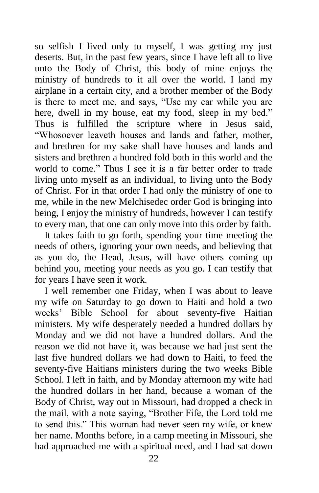so selfish I lived only to myself, I was getting my just deserts. But, in the past few years, since I have left all to live unto the Body of Christ, this body of mine enjoys the ministry of hundreds to it all over the world. I land my airplane in a certain city, and a brother member of the Body is there to meet me, and says, "Use my car while you are here, dwell in my house, eat my food, sleep in my bed." Thus is fulfilled the scripture where in Jesus said, "Whosoever leaveth houses and lands and father, mother, and brethren for my sake shall have houses and lands and sisters and brethren a hundred fold both in this world and the world to come." Thus I see it is a far better order to trade living unto myself as an individual, to living unto the Body of Christ. For in that order I had only the ministry of one to me, while in the new Melchisedec order God is bringing into being, I enjoy the ministry of hundreds, however I can testify to every man, that one can only move into this order by faith.

 It takes faith to go forth, spending your time meeting the needs of others, ignoring your own needs, and believing that as you do, the Head, Jesus, will have others coming up behind you, meeting your needs as you go. I can testify that for years I have seen it work.

 I well remember one Friday, when I was about to leave my wife on Saturday to go down to Haiti and hold a two weeks' Bible School for about seventy-five Haitian ministers. My wife desperately needed a hundred dollars by Monday and we did not have a hundred dollars. And the reason we did not have it, was because we had just sent the last five hundred dollars we had down to Haiti, to feed the seventy-five Haitians ministers during the two weeks Bible School. I left in faith, and by Monday afternoon my wife had the hundred dollars in her hand, because a woman of the Body of Christ, way out in Missouri, had dropped a check in the mail, with a note saying, "Brother Fife, the Lord told me to send this." This woman had never seen my wife, or knew her name. Months before, in a camp meeting in Missouri, she had approached me with a spiritual need, and I had sat down